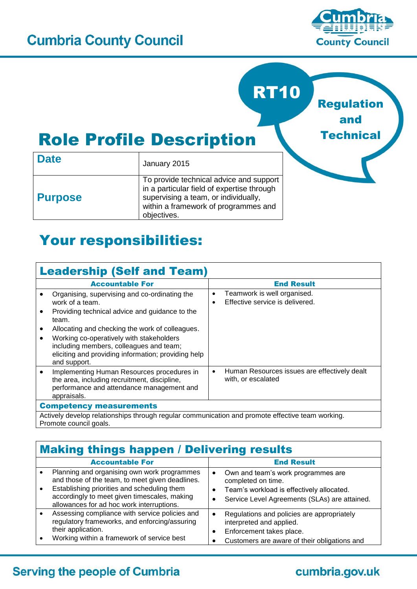

Regulation

and

**Technical** 

RT10

# Role Profile Description

| <b>Date</b>    | January 2015                                                                                                                                                                         |  |  |  |
|----------------|--------------------------------------------------------------------------------------------------------------------------------------------------------------------------------------|--|--|--|
| <b>Purpose</b> | To provide technical advice and support<br>in a particular field of expertise through<br>supervising a team, or individually,<br>within a framework of programmes and<br>objectives. |  |  |  |

# Your responsibilities:

| <b>Leadership (Self and Team)</b>                                                                                                                                   |                                                                                          |  |  |
|---------------------------------------------------------------------------------------------------------------------------------------------------------------------|------------------------------------------------------------------------------------------|--|--|
| <b>Accountable For</b>                                                                                                                                              | <b>End Result</b>                                                                        |  |  |
| Organising, supervising and co-ordinating the<br>work of a team.                                                                                                    | Teamwork is well organised.<br>$\bullet$<br>Effective service is delivered.<br>$\bullet$ |  |  |
| Providing technical advice and guidance to the<br>$\bullet$<br>team.                                                                                                |                                                                                          |  |  |
| Allocating and checking the work of colleagues.<br>$\bullet$                                                                                                        |                                                                                          |  |  |
| Working co-operatively with stakeholders<br>$\bullet$                                                                                                               |                                                                                          |  |  |
| including members, colleagues and team;<br>eliciting and providing information; providing help<br>and support.                                                      |                                                                                          |  |  |
| Implementing Human Resources procedures in<br>$\bullet$<br>the area, including recruitment, discipline,<br>performance and attendance management and<br>appraisals. | Human Resources issues are effectively dealt<br>$\bullet$<br>with, or escalated          |  |  |
| <b>Competency measurements</b>                                                                                                                                      |                                                                                          |  |  |
| Actively develop relationships through regular communication and promote effective team working.                                                                    |                                                                                          |  |  |
| Promote council goals.                                                                                                                                              |                                                                                          |  |  |

| <b>Making things happen / Delivering results</b> |                                                                                                                                                                                                                                            |  |                                                                                                                                                        |
|--------------------------------------------------|--------------------------------------------------------------------------------------------------------------------------------------------------------------------------------------------------------------------------------------------|--|--------------------------------------------------------------------------------------------------------------------------------------------------------|
|                                                  | <b>Accountable For</b>                                                                                                                                                                                                                     |  | <b>End Result</b>                                                                                                                                      |
|                                                  | Planning and organising own work programmes<br>and those of the team, to meet given deadlines.<br>Establishing priorities and scheduling them<br>accordingly to meet given timescales, making<br>allowances for ad hoc work interruptions. |  | Own and team's work programmes are<br>completed on time.<br>Team's workload is effectively allocated.<br>Service Level Agreements (SLAs) are attained. |
|                                                  | Assessing compliance with service policies and<br>regulatory frameworks, and enforcing/assuring<br>their application.<br>Working within a framework of service best                                                                        |  | Regulations and policies are appropriately<br>interpreted and applied.<br>Enforcement takes place.<br>Customers are aware of their obligations and     |

#### **Serving the people of Cumbria**

# cumbria.gov.uk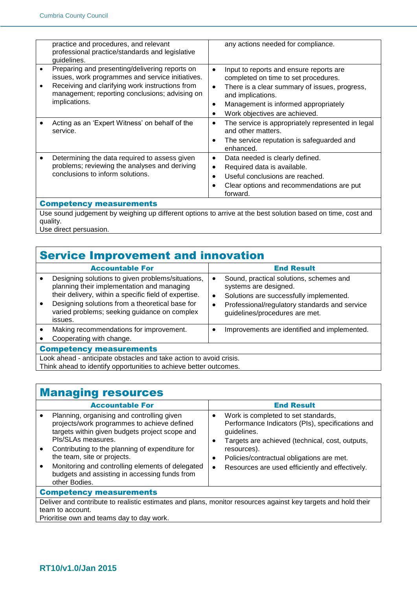|                                                                                                             | practice and procedures, and relevant<br>professional practice/standards and legislative<br>guidelines.                                                                                                                  |                        | any actions needed for compliance.                                                                                                                                                                                             |  |
|-------------------------------------------------------------------------------------------------------------|--------------------------------------------------------------------------------------------------------------------------------------------------------------------------------------------------------------------------|------------------------|--------------------------------------------------------------------------------------------------------------------------------------------------------------------------------------------------------------------------------|--|
|                                                                                                             | Preparing and presenting/delivering reports on<br>issues, work programmes and service initiatives.<br>Receiving and clarifying work instructions from<br>management; reporting conclusions; advising on<br>implications. | $\bullet$<br>$\bullet$ | Input to reports and ensure reports are<br>completed on time to set procedures.<br>There is a clear summary of issues, progress,<br>and implications.<br>Management is informed appropriately<br>Work objectives are achieved. |  |
|                                                                                                             | Acting as an 'Expert Witness' on behalf of the<br>service.                                                                                                                                                               | ٠                      | The service is appropriately represented in legal<br>and other matters.<br>The service reputation is safeguarded and<br>enhanced.                                                                                              |  |
|                                                                                                             | Determining the data required to assess given<br>problems; reviewing the analyses and deriving<br>conclusions to inform solutions.                                                                                       | $\bullet$<br>$\bullet$ | Data needed is clearly defined.<br>Required data is available.<br>Useful conclusions are reached.<br>Clear options and recommendations are put<br>forward.                                                                     |  |
| <b>Competency measurements</b>                                                                              |                                                                                                                                                                                                                          |                        |                                                                                                                                                                                                                                |  |
| Use sound judgement by weighing up different options to arrive at the best solution based on time, cost and |                                                                                                                                                                                                                          |                        |                                                                                                                                                                                                                                |  |
|                                                                                                             | quality.                                                                                                                                                                                                                 |                        |                                                                                                                                                                                                                                |  |

Use direct persuasion.

| <b>Service Improvement and innovation</b>                                                                                               |                                                                                                                                                                                                                                                                        |                             |                                                                                                                                                                                                |
|-----------------------------------------------------------------------------------------------------------------------------------------|------------------------------------------------------------------------------------------------------------------------------------------------------------------------------------------------------------------------------------------------------------------------|-----------------------------|------------------------------------------------------------------------------------------------------------------------------------------------------------------------------------------------|
|                                                                                                                                         | <b>Accountable For</b>                                                                                                                                                                                                                                                 |                             | <b>End Result</b>                                                                                                                                                                              |
|                                                                                                                                         | Designing solutions to given problems/situations,<br>planning their implementation and managing<br>their delivery, within a specific field of expertise.<br>Designing solutions from a theoretical base for<br>varied problems; seeking guidance on complex<br>issues. | ٠<br>$\bullet$<br>$\bullet$ | Sound, practical solutions, schemes and<br>systems are designed.<br>Solutions are successfully implemented.<br>Professional/regulatory standards and service<br>guidelines/procedures are met. |
|                                                                                                                                         | Making recommendations for improvement.<br>Cooperating with change.                                                                                                                                                                                                    |                             | Improvements are identified and implemented.                                                                                                                                                   |
| <b>Competency measurements</b>                                                                                                          |                                                                                                                                                                                                                                                                        |                             |                                                                                                                                                                                                |
| Look ahead - anticipate obstacles and take action to avoid crisis.<br>Think ahead to identify opportunities to achieve better outcomes. |                                                                                                                                                                                                                                                                        |                             |                                                                                                                                                                                                |

# Managing resources

|                                                                                                               | <b>Accountable For</b>                                                                                                                                                                                                                                                                                                                                                    |                                  | <b>End Result</b>                                                                                                                                                                                                                                                        |  |
|---------------------------------------------------------------------------------------------------------------|---------------------------------------------------------------------------------------------------------------------------------------------------------------------------------------------------------------------------------------------------------------------------------------------------------------------------------------------------------------------------|----------------------------------|--------------------------------------------------------------------------------------------------------------------------------------------------------------------------------------------------------------------------------------------------------------------------|--|
|                                                                                                               | Planning, organising and controlling given<br>projects/work programmes to achieve defined<br>targets within given budgets project scope and<br>PIs/SLAs measures.<br>Contributing to the planning of expenditure for<br>the team, site or projects.<br>Monitoring and controlling elements of delegated<br>budgets and assisting in accessing funds from<br>other Bodies. | $\bullet$<br>٠<br>٠<br>$\bullet$ | Work is completed to set standards,<br>Performance Indicators (PIs), specifications and<br>guidelines.<br>Targets are achieved (technical, cost, outputs,<br>resources).<br>Policies/contractual obligations are met.<br>Resources are used efficiently and effectively. |  |
| <b>Competency measurements</b>                                                                                |                                                                                                                                                                                                                                                                                                                                                                           |                                  |                                                                                                                                                                                                                                                                          |  |
| Deliver and contribute to realistic estimates and plans, monitor resources against key targets and hold their |                                                                                                                                                                                                                                                                                                                                                                           |                                  |                                                                                                                                                                                                                                                                          |  |
| team to account.                                                                                              |                                                                                                                                                                                                                                                                                                                                                                           |                                  |                                                                                                                                                                                                                                                                          |  |
|                                                                                                               | Prioritise own and teams day to day work.                                                                                                                                                                                                                                                                                                                                 |                                  |                                                                                                                                                                                                                                                                          |  |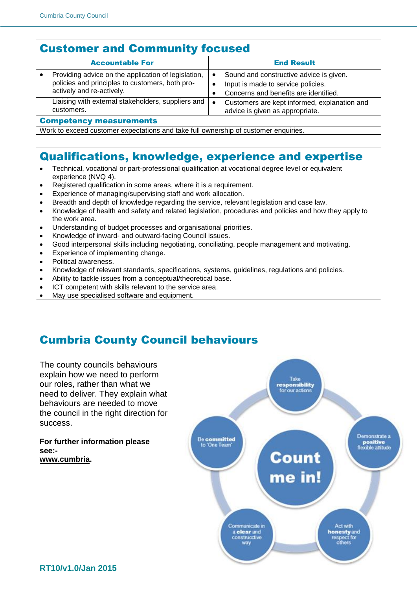## Customer and Community focused

| <b>Accountable For</b>                                                                                                              |           | <b>End Result</b>                                                                                                      |  |
|-------------------------------------------------------------------------------------------------------------------------------------|-----------|------------------------------------------------------------------------------------------------------------------------|--|
| Providing advice on the application of legislation,<br>policies and principles to customers, both pro-<br>actively and re-actively. | ٠         | Sound and constructive advice is given.<br>Input is made to service policies.<br>Concerns and benefits are identified. |  |
| Liaising with external stakeholders, suppliers and<br>customers.                                                                    | $\bullet$ | Customers are kept informed, explanation and<br>advice is given as appropriate.                                        |  |
| <b>Competency measurements</b>                                                                                                      |           |                                                                                                                        |  |

Work to exceed customer expectations and take full ownership of customer enquiries.

#### Qualifications, knowledge, experience and expertise

- Technical, vocational or part-professional qualification at vocational degree level or equivalent experience (NVQ 4).
- Registered qualification in some areas, where it is a requirement.
- Experience of managing/supervising staff and work allocation.
- Breadth and depth of knowledge regarding the service, relevant legislation and case law.
- Knowledge of health and safety and related legislation, procedures and policies and how they apply to the work area.
- Understanding of budget processes and organisational priorities.
- Knowledge of inward- and outward-facing Council issues.
- Good interpersonal skills including negotiating, conciliating, people management and motivating.
- Experience of implementing change.
- Political awareness.
- Knowledge of relevant standards, specifications, systems, guidelines, regulations and policies.
- Ability to tackle issues from a conceptual/theoretical base.
- ICT competent with skills relevant to the service area.
- May use specialised software and equipment.

# Cumbria County Council behaviours

The county councils behaviours explain how we need to perform Take responsibility<br>for our actions our roles, rather than what we need to deliver. They explain what behaviours are needed to move the council in the right direction for success. **Be committed For further information please**  to 'One Team' **see:- Count [www.cumbria.](http://www.cumbria/)** me in! Act with Communicate in **honesty** and<br>respect for<br>others a clear and construcctive way

Demonstrate a

positive<br>flexible attitude